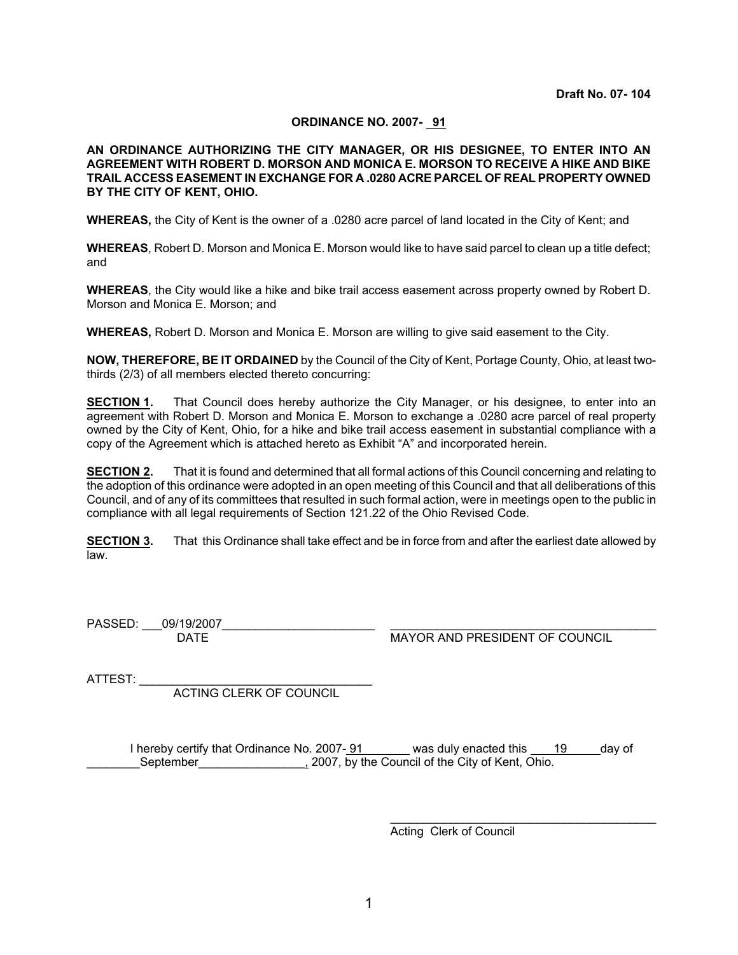#### **ORDINANCE NO. 2007- 91**

#### **AN ORDINANCE AUTHORIZING THE CITY MANAGER, OR HIS DESIGNEE, TO ENTER INTO AN AGREEMENT WITH ROBERT D. MORSON AND MONICA E. MORSON TO RECEIVE A HIKE AND BIKE TRAIL ACCESS EASEMENT IN EXCHANGE FOR A .0280 ACRE PARCEL OF REAL PROPERTY OWNED BY THE CITY OF KENT, OHIO.**

**WHEREAS,** the City of Kent is the owner of a .0280 acre parcel of land located in the City of Kent; and

**WHEREAS**, Robert D. Morson and Monica E. Morson would like to have said parcel to clean up a title defect; and

**WHEREAS**, the City would like a hike and bike trail access easement across property owned by Robert D. Morson and Monica E. Morson; and

**WHEREAS,** Robert D. Morson and Monica E. Morson are willing to give said easement to the City.

**NOW, THEREFORE, BE IT ORDAINED** by the Council of the City of Kent, Portage County, Ohio, at least twothirds (2/3) of all members elected thereto concurring:

**SECTION 1.** That Council does hereby authorize the City Manager, or his designee, to enter into an agreement with Robert D. Morson and Monica E. Morson to exchange a .0280 acre parcel of real property owned by the City of Kent, Ohio, for a hike and bike trail access easement in substantial compliance with a copy of the Agreement which is attached hereto as Exhibit "A" and incorporated herein.

**SECTION 2.** That it is found and determined that all formal actions of this Council concerning and relating to the adoption of this ordinance were adopted in an open meeting of this Council and that all deliberations of this Council, and of any of its committees that resulted in such formal action, were in meetings open to the public in compliance with all legal requirements of Section 121.22 of the Ohio Revised Code.

**SECTION 3.** That this Ordinance shall take effect and be in force from and after the earliest date allowed by law.

PASSED: \_\_\_09/19/2007\_\_\_\_\_\_\_\_\_\_\_\_\_\_\_\_\_\_\_\_\_\_\_ \_\_\_\_\_\_\_\_\_\_\_\_\_\_\_\_\_\_\_\_\_\_\_\_\_\_\_\_\_\_\_\_\_\_\_\_\_\_\_\_

DATE MAYOR AND PRESIDENT OF COUNCIL

\_\_\_\_\_\_\_\_\_\_\_\_\_\_\_\_\_\_\_\_\_\_\_\_\_\_\_\_\_\_\_\_\_\_\_\_\_\_\_\_

 $ATTEST:$ 

ACTING CLERK OF COUNCIL

I hereby certify that Ordinance No. 2007-  $\frac{91}{2}$  was duly enacted this 19 day of September The September 1, 2007, by the Council of the City of Kent, Ohio.

Acting Clerk of Council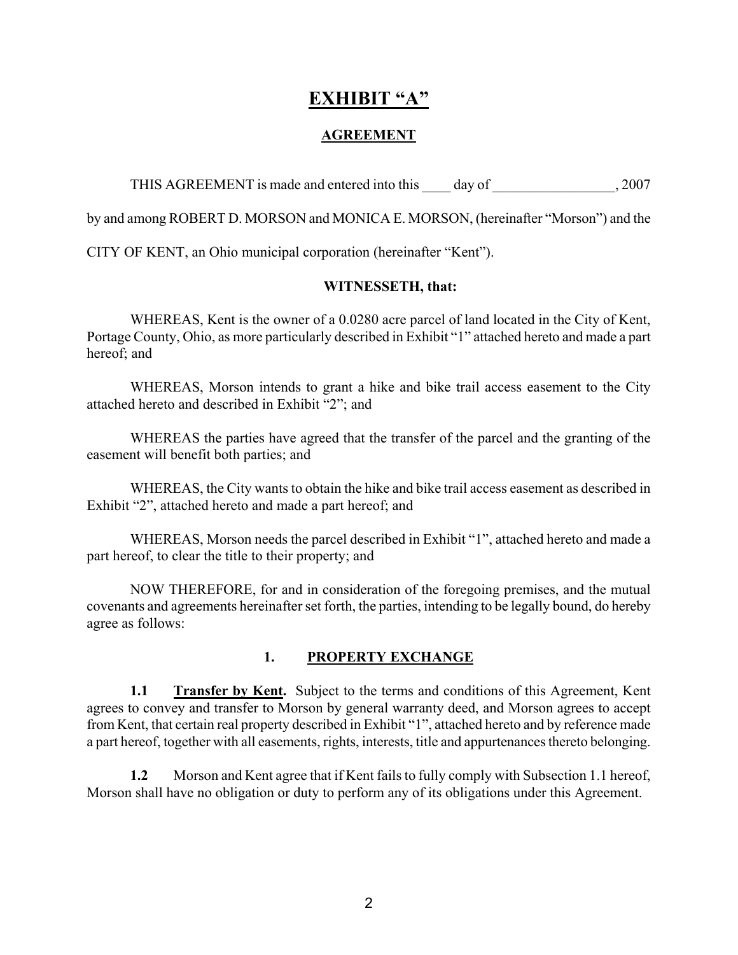# **EXHIBIT "A"**

# **AGREEMENT**

THIS AGREEMENT is made and entered into this day of  $\qquad \qquad , 2007$ 

by and among ROBERT D. MORSON and MONICA E. MORSON, (hereinafter "Morson") and the

CITY OF KENT, an Ohio municipal corporation (hereinafter "Kent").

#### **WITNESSETH, that:**

WHEREAS, Kent is the owner of a 0.0280 acre parcel of land located in the City of Kent, Portage County, Ohio, as more particularly described in Exhibit "1" attached hereto and made a part hereof; and

WHEREAS, Morson intends to grant a hike and bike trail access easement to the City attached hereto and described in Exhibit "2"; and

WHEREAS the parties have agreed that the transfer of the parcel and the granting of the easement will benefit both parties; and

WHEREAS, the City wants to obtain the hike and bike trail access easement as described in Exhibit "2", attached hereto and made a part hereof; and

WHEREAS, Morson needs the parcel described in Exhibit "1", attached hereto and made a part hereof, to clear the title to their property; and

NOW THEREFORE, for and in consideration of the foregoing premises, and the mutual covenants and agreements hereinafter set forth, the parties, intending to be legally bound, do hereby agree as follows:

### **1. PROPERTY EXCHANGE**

**1.1 Transfer by Kent.** Subject to the terms and conditions of this Agreement, Kent agrees to convey and transfer to Morson by general warranty deed, and Morson agrees to accept from Kent, that certain real property described in Exhibit "1", attached hereto and by reference made a part hereof, together with all easements, rights, interests, title and appurtenances thereto belonging.

**1.2** Morson and Kent agree that if Kent fails to fully comply with Subsection 1.1 hereof, Morson shall have no obligation or duty to perform any of its obligations under this Agreement.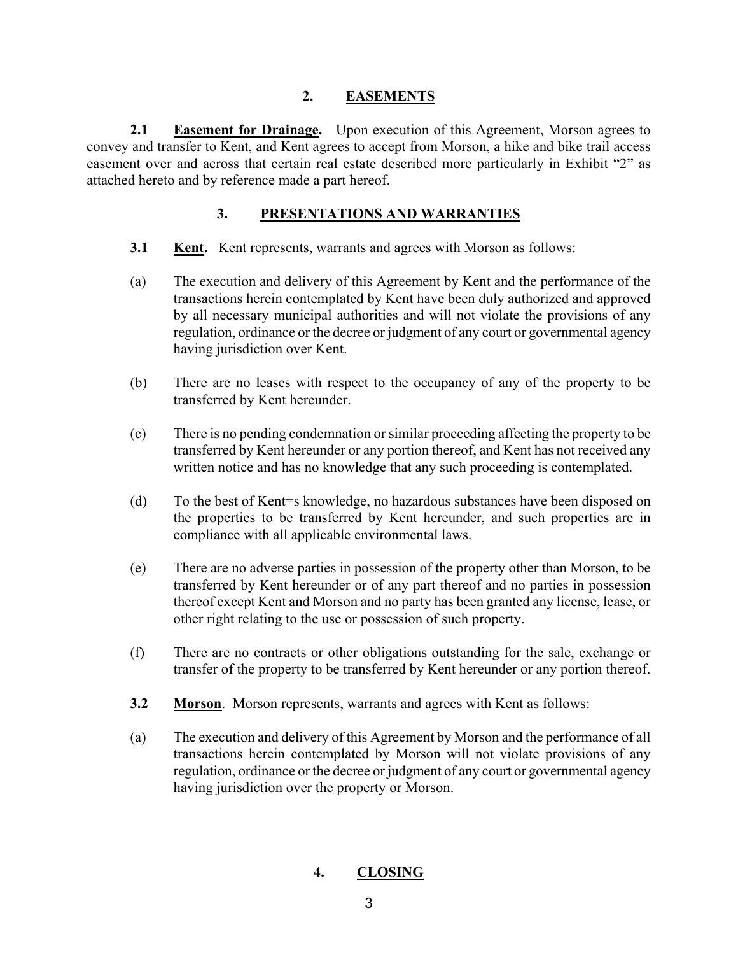#### **2. EASEMENTS**

**2.1 Easement for Drainage.** Upon execution of this Agreement, Morson agrees to convey and transfer to Kent, and Kent agrees to accept from Morson, a hike and bike trail access easement over and across that certain real estate described more particularly in Exhibit "2" as attached hereto and by reference made a part hereof.

#### **3. PRESENTATIONS AND WARRANTIES**

- **3.1 Kent.** Kent represents, warrants and agrees with Morson as follows:
- (a) The execution and delivery of this Agreement by Kent and the performance of the transactions herein contemplated by Kent have been duly authorized and approved by all necessary municipal authorities and will not violate the provisions of any regulation, ordinance or the decree or judgment of any court or governmental agency having jurisdiction over Kent.
- (b) There are no leases with respect to the occupancy of any of the property to be transferred by Kent hereunder.
- (c) There is no pending condemnation or similar proceeding affecting the property to be transferred by Kent hereunder or any portion thereof, and Kent has not received any written notice and has no knowledge that any such proceeding is contemplated.
- (d) To the best of Kent=s knowledge, no hazardous substances have been disposed on the properties to be transferred by Kent hereunder, and such properties are in compliance with all applicable environmental laws.
- (e) There are no adverse parties in possession of the property other than Morson, to be transferred by Kent hereunder or of any part thereof and no parties in possession thereof except Kent and Morson and no party has been granted any license, lease, or other right relating to the use or possession of such property.
- (f) There are no contracts or other obligations outstanding for the sale, exchange or transfer of the property to be transferred by Kent hereunder or any portion thereof.
- **3.2 Morson**. Morson represents, warrants and agrees with Kent as follows:
- (a) The execution and delivery of this Agreement by Morson and the performance of all transactions herein contemplated by Morson will not violate provisions of any regulation, ordinance or the decree or judgment of any court or governmental agency having jurisdiction over the property or Morson.

### **4. CLOSING**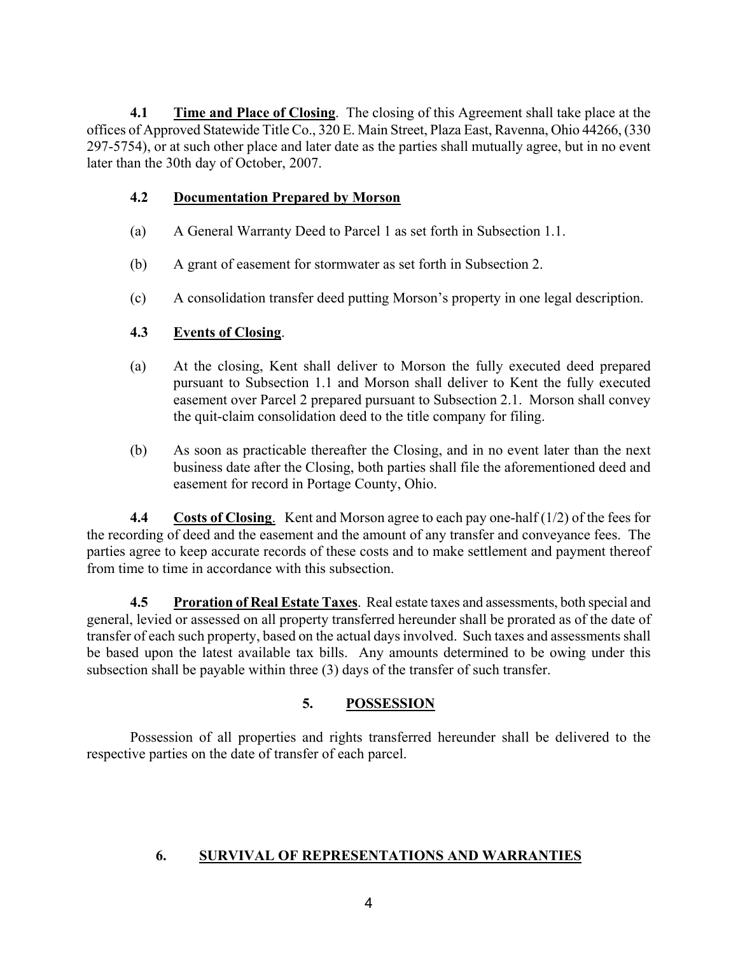**4.1 Time and Place of Closing**. The closing of this Agreement shall take place at the offices of Approved Statewide Title Co., 320 E. Main Street, Plaza East, Ravenna, Ohio 44266, (330 297-5754), or at such other place and later date as the parties shall mutually agree, but in no event later than the 30th day of October, 2007.

## **4.2 Documentation Prepared by Morson**

- (a) A General Warranty Deed to Parcel 1 as set forth in Subsection 1.1.
- (b) A grant of easement for stormwater as set forth in Subsection 2.
- (c) A consolidation transfer deed putting Morson's property in one legal description.

# **4.3 Events of Closing**.

- (a) At the closing, Kent shall deliver to Morson the fully executed deed prepared pursuant to Subsection 1.1 and Morson shall deliver to Kent the fully executed easement over Parcel 2 prepared pursuant to Subsection 2.1. Morson shall convey the quit-claim consolidation deed to the title company for filing.
- (b) As soon as practicable thereafter the Closing, and in no event later than the next business date after the Closing, both parties shall file the aforementioned deed and easement for record in Portage County, Ohio.

**4.4 Costs of Closing**. Kent and Morson agree to each pay one-half (1/2) of the fees for the recording of deed and the easement and the amount of any transfer and conveyance fees. The parties agree to keep accurate records of these costs and to make settlement and payment thereof from time to time in accordance with this subsection.

**4.5 Proration of Real Estate Taxes**. Real estate taxes and assessments, both special and general, levied or assessed on all property transferred hereunder shall be prorated as of the date of transfer of each such property, based on the actual days involved. Such taxes and assessments shall be based upon the latest available tax bills. Any amounts determined to be owing under this subsection shall be payable within three (3) days of the transfer of such transfer.

# **5. POSSESSION**

Possession of all properties and rights transferred hereunder shall be delivered to the respective parties on the date of transfer of each parcel.

# **6. SURVIVAL OF REPRESENTATIONS AND WARRANTIES**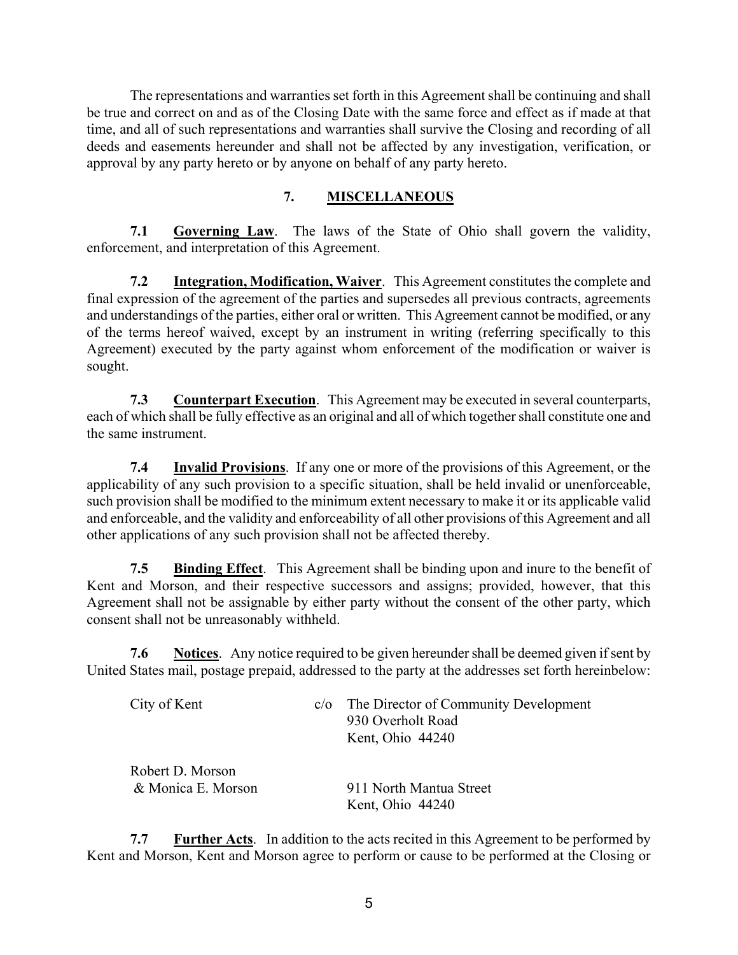The representations and warranties set forth in this Agreement shall be continuing and shall be true and correct on and as of the Closing Date with the same force and effect as if made at that time, and all of such representations and warranties shall survive the Closing and recording of all deeds and easements hereunder and shall not be affected by any investigation, verification, or approval by any party hereto or by anyone on behalf of any party hereto.

# **7. MISCELLANEOUS**

**7.1 Governing Law**. The laws of the State of Ohio shall govern the validity, enforcement, and interpretation of this Agreement.

**7.2 Integration, Modification, Waiver**. This Agreement constitutes the complete and final expression of the agreement of the parties and supersedes all previous contracts, agreements and understandings of the parties, either oral or written. This Agreement cannot be modified, or any of the terms hereof waived, except by an instrument in writing (referring specifically to this Agreement) executed by the party against whom enforcement of the modification or waiver is sought.

**7.3 Counterpart Execution**. This Agreement may be executed in several counterparts, each of which shall be fully effective as an original and all of which together shall constitute one and the same instrument.

**7.4 Invalid Provisions**. If any one or more of the provisions of this Agreement, or the applicability of any such provision to a specific situation, shall be held invalid or unenforceable, such provision shall be modified to the minimum extent necessary to make it or its applicable valid and enforceable, and the validity and enforceability of all other provisions of this Agreement and all other applications of any such provision shall not be affected thereby.

**7.5 Binding Effect**. This Agreement shall be binding upon and inure to the benefit of Kent and Morson, and their respective successors and assigns; provided, however, that this Agreement shall not be assignable by either party without the consent of the other party, which consent shall not be unreasonably withheld.

**7.6 Notices**. Any notice required to be given hereunder shall be deemed given if sent by United States mail, postage prepaid, addressed to the party at the addresses set forth hereinbelow:

| City of Kent                           | c/o The Director of Community Development<br>930 Overholt Road<br>Kent, Ohio 44240 |
|----------------------------------------|------------------------------------------------------------------------------------|
| Robert D. Morson<br>& Monica E. Morson | 911 North Mantua Street<br>Kent, Ohio 44240                                        |

**7.7 Further Acts**. In addition to the acts recited in this Agreement to be performed by Kent and Morson, Kent and Morson agree to perform or cause to be performed at the Closing or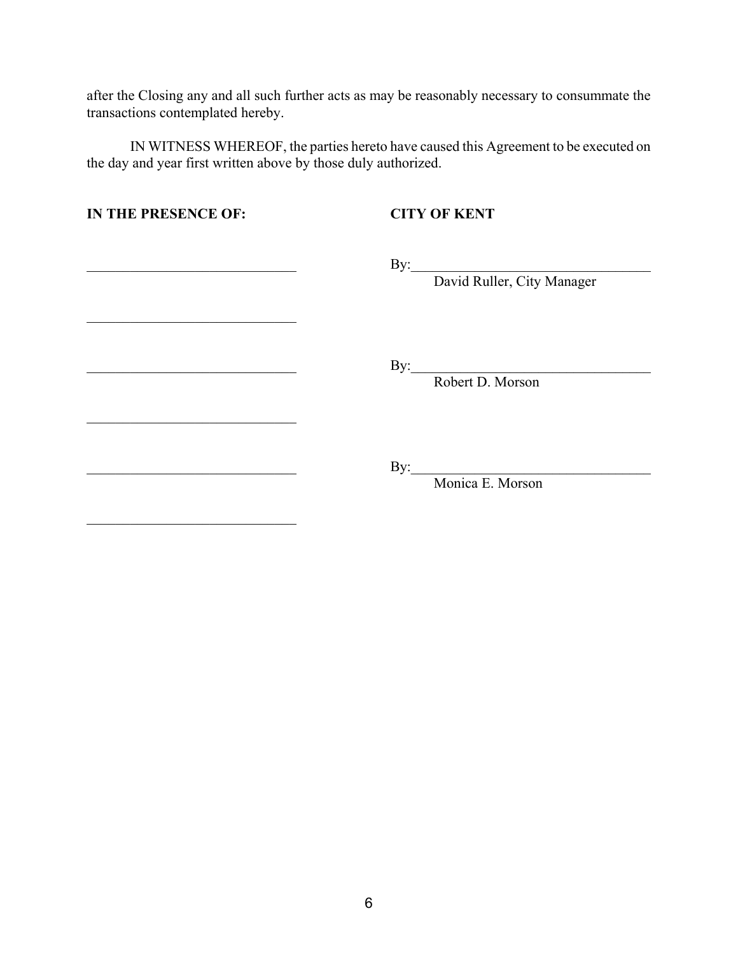after the Closing any and all such further acts as may be reasonably necessary to consummate the transactions contemplated hereby.

IN WITNESS WHEREOF, the parties hereto have caused this Agreement to be executed on the day and year first written above by those duly authorized.

**IN THE PRESENCE OF:** CITY OF KENT

 $\mathcal{L}_\text{max}$  , where  $\mathcal{L}_\text{max}$  and  $\mathcal{L}_\text{max}$  and  $\mathcal{L}_\text{max}$ 

 $\mathcal{L}_\text{max}$ 

 $\mathcal{L}_\text{max}$  , where  $\mathcal{L}_\text{max}$  and  $\mathcal{L}_\text{max}$  and  $\mathcal{L}_\text{max}$ 

\_\_\_\_\_\_\_\_\_\_\_\_\_\_\_\_\_\_\_\_\_\_\_\_\_\_\_\_\_ By:\_\_\_\_\_\_\_\_\_\_\_\_\_\_\_\_\_\_\_\_\_\_\_\_\_\_\_\_\_\_\_\_\_\_

David Ruller, City Manager

 $\mathbf{By:}$ 

Robert D. Morson

 $\qquad \qquad \text{By:} \qquad \qquad \qquad \qquad \text{By:}$ Monica E. Morson